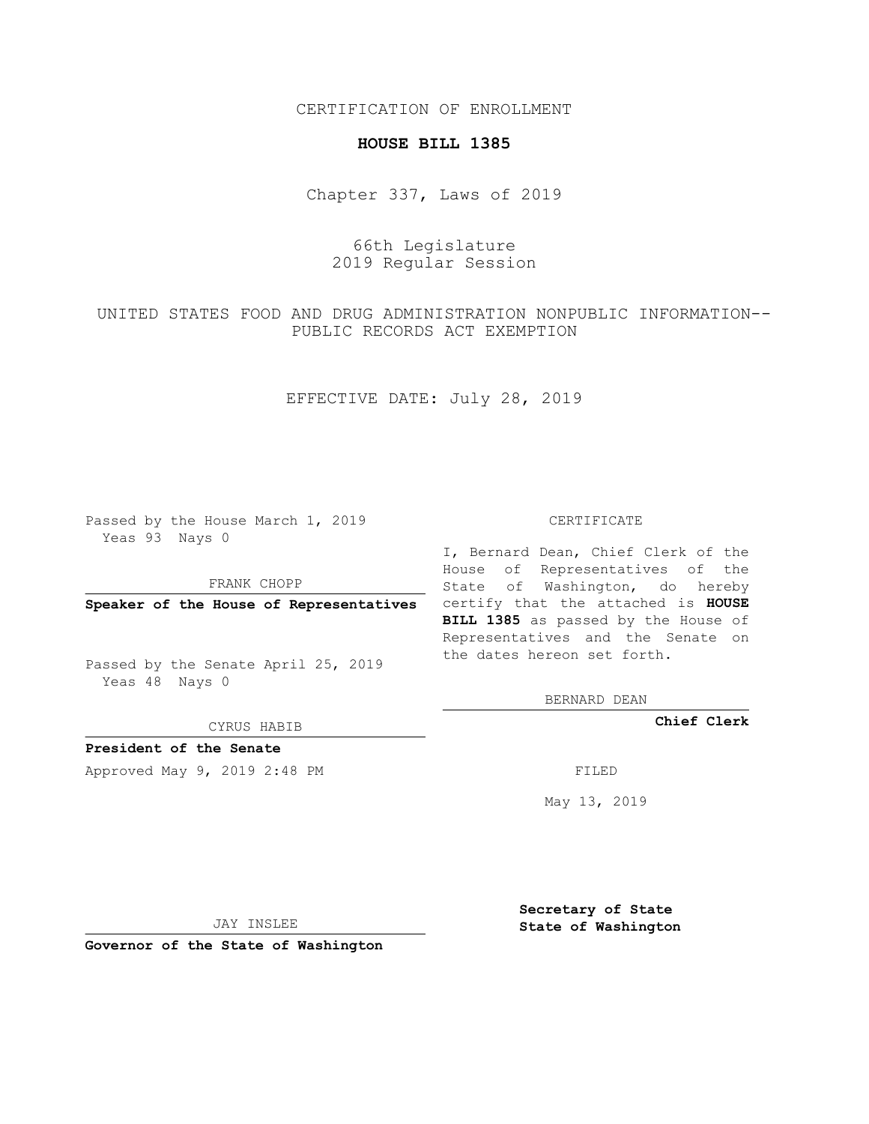CERTIFICATION OF ENROLLMENT

## **HOUSE BILL 1385**

Chapter 337, Laws of 2019

## 66th Legislature 2019 Regular Session

UNITED STATES FOOD AND DRUG ADMINISTRATION NONPUBLIC INFORMATION-- PUBLIC RECORDS ACT EXEMPTION

EFFECTIVE DATE: July 28, 2019

Passed by the House March 1, 2019 Yeas 93 Nays 0

FRANK CHOPP

Passed by the Senate April 25, 2019 Yeas 48 Nays 0

CYRUS HABIB

**President of the Senate**

Approved May 9, 2019 2:48 PM

## CERTIFICATE

**Speaker of the House of Representatives** certify that the attached is **HOUSE** I, Bernard Dean, Chief Clerk of the House of Representatives of the State of Washington, do hereby **BILL 1385** as passed by the House of Representatives and the Senate on the dates hereon set forth.

BERNARD DEAN

**Chief Clerk**

May 13, 2019

JAY INSLEE

**Governor of the State of Washington**

**Secretary of State State of Washington**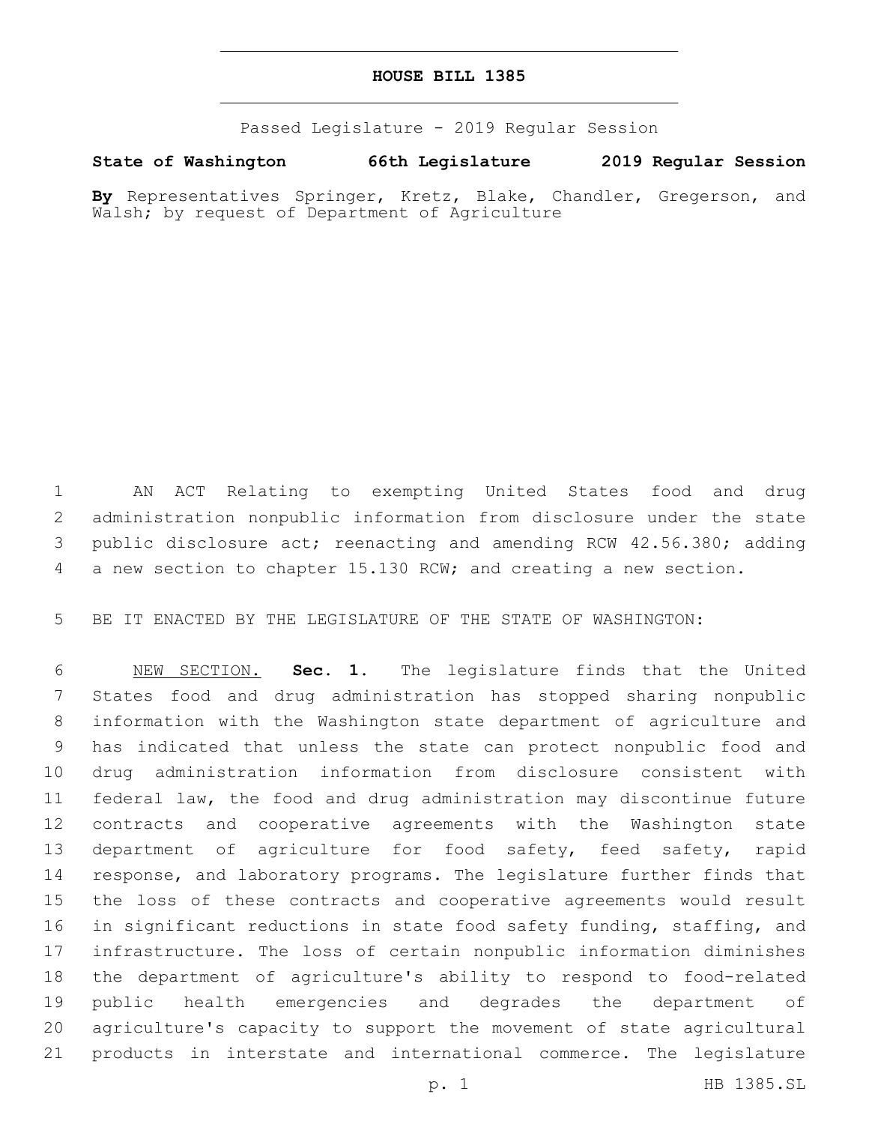## **HOUSE BILL 1385**

Passed Legislature - 2019 Regular Session

**State of Washington 66th Legislature 2019 Regular Session**

**By** Representatives Springer, Kretz, Blake, Chandler, Gregerson, and Walsh; by request of Department of Agriculture

 AN ACT Relating to exempting United States food and drug administration nonpublic information from disclosure under the state public disclosure act; reenacting and amending RCW 42.56.380; adding a new section to chapter 15.130 RCW; and creating a new section.

BE IT ENACTED BY THE LEGISLATURE OF THE STATE OF WASHINGTON:

 NEW SECTION. **Sec. 1.** The legislature finds that the United States food and drug administration has stopped sharing nonpublic information with the Washington state department of agriculture and has indicated that unless the state can protect nonpublic food and drug administration information from disclosure consistent with federal law, the food and drug administration may discontinue future contracts and cooperative agreements with the Washington state department of agriculture for food safety, feed safety, rapid response, and laboratory programs. The legislature further finds that the loss of these contracts and cooperative agreements would result in significant reductions in state food safety funding, staffing, and infrastructure. The loss of certain nonpublic information diminishes the department of agriculture's ability to respond to food-related public health emergencies and degrades the department of agriculture's capacity to support the movement of state agricultural products in interstate and international commerce. The legislature

p. 1 HB 1385.SL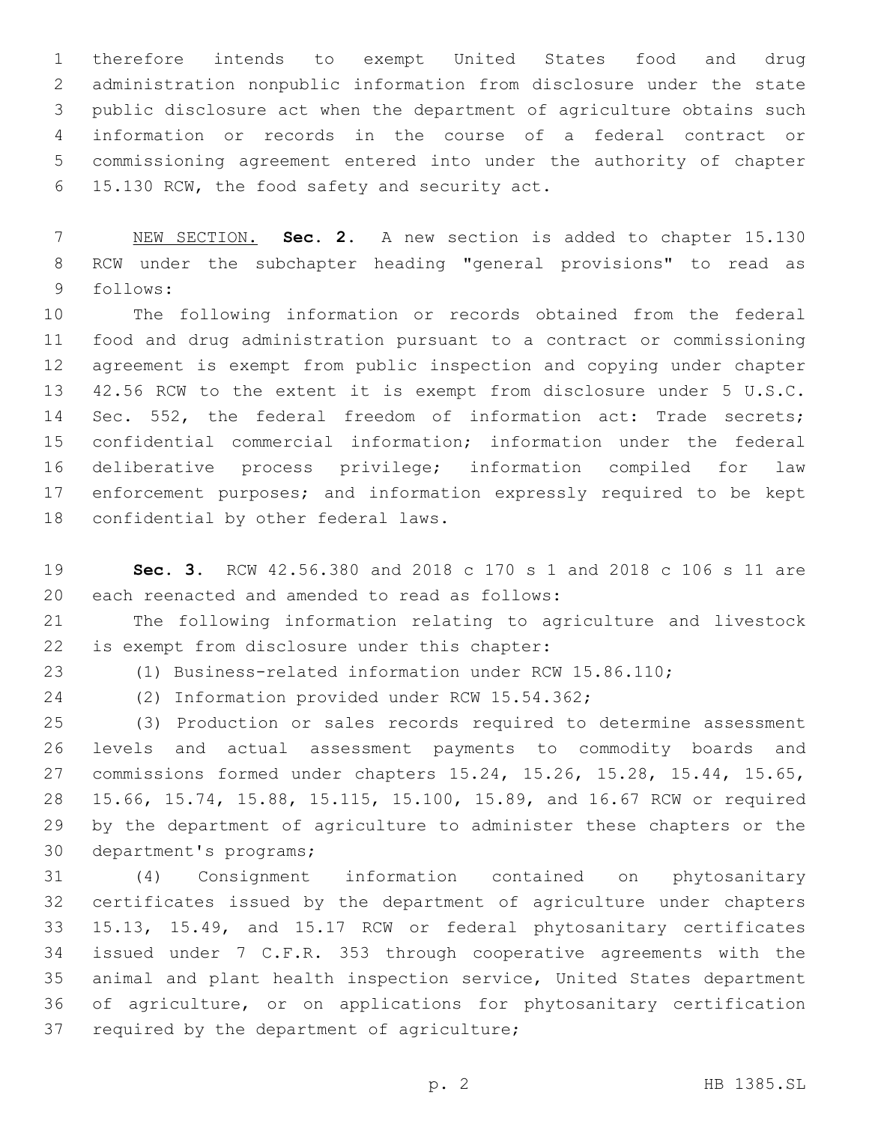therefore intends to exempt United States food and drug administration nonpublic information from disclosure under the state public disclosure act when the department of agriculture obtains such information or records in the course of a federal contract or commissioning agreement entered into under the authority of chapter 15.130 RCW, the food safety and security act.6

 NEW SECTION. **Sec. 2.** A new section is added to chapter 15.130 RCW under the subchapter heading "general provisions" to read as 9 follows:

 The following information or records obtained from the federal food and drug administration pursuant to a contract or commissioning agreement is exempt from public inspection and copying under chapter 42.56 RCW to the extent it is exempt from disclosure under 5 U.S.C. Sec. 552, the federal freedom of information act: Trade secrets; confidential commercial information; information under the federal deliberative process privilege; information compiled for law enforcement purposes; and information expressly required to be kept 18 confidential by other federal laws.

 **Sec. 3.** RCW 42.56.380 and 2018 c 170 s 1 and 2018 c 106 s 11 are 20 each reenacted and amended to read as follows:

 The following information relating to agriculture and livestock 22 is exempt from disclosure under this chapter:

(1) Business-related information under RCW 15.86.110;

24 (2) Information provided under RCW 15.54.362;

 (3) Production or sales records required to determine assessment levels and actual assessment payments to commodity boards and commissions formed under chapters 15.24, 15.26, 15.28, 15.44, 15.65, 15.66, 15.74, 15.88, 15.115, 15.100, 15.89, and 16.67 RCW or required by the department of agriculture to administer these chapters or the 30 department's programs;

 (4) Consignment information contained on phytosanitary certificates issued by the department of agriculture under chapters 15.13, 15.49, and 15.17 RCW or federal phytosanitary certificates issued under 7 C.F.R. 353 through cooperative agreements with the animal and plant health inspection service, United States department of agriculture, or on applications for phytosanitary certification 37 required by the department of agriculture;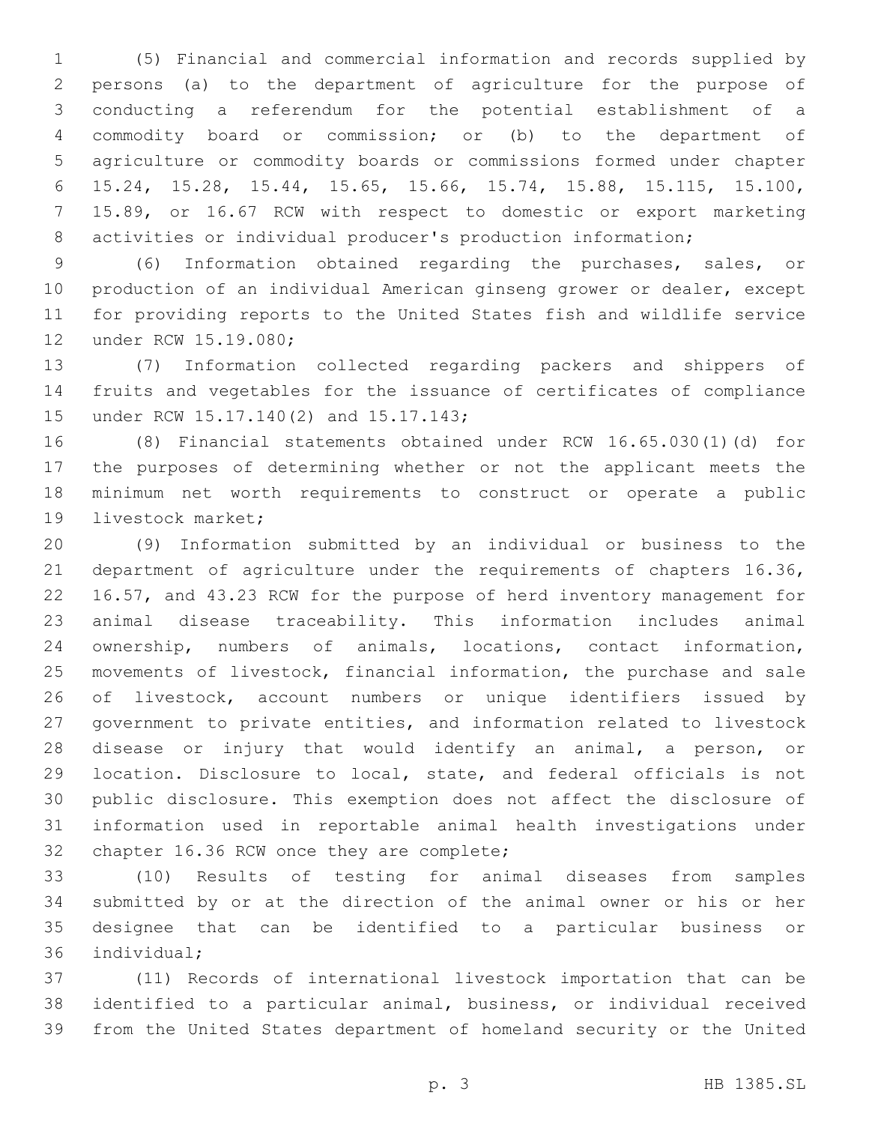(5) Financial and commercial information and records supplied by persons (a) to the department of agriculture for the purpose of conducting a referendum for the potential establishment of a commodity board or commission; or (b) to the department of agriculture or commodity boards or commissions formed under chapter 15.24, 15.28, 15.44, 15.65, 15.66, 15.74, 15.88, 15.115, 15.100, 15.89, or 16.67 RCW with respect to domestic or export marketing activities or individual producer's production information;

 (6) Information obtained regarding the purchases, sales, or production of an individual American ginseng grower or dealer, except for providing reports to the United States fish and wildlife service 12 under RCW 15.19.080;

 (7) Information collected regarding packers and shippers of fruits and vegetables for the issuance of certificates of compliance 15 under RCW 15.17.140(2) and 15.17.143;

 (8) Financial statements obtained under RCW 16.65.030(1)(d) for the purposes of determining whether or not the applicant meets the minimum net worth requirements to construct or operate a public 19 livestock market;

 (9) Information submitted by an individual or business to the department of agriculture under the requirements of chapters 16.36, 16.57, and 43.23 RCW for the purpose of herd inventory management for animal disease traceability. This information includes animal ownership, numbers of animals, locations, contact information, movements of livestock, financial information, the purchase and sale of livestock, account numbers or unique identifiers issued by government to private entities, and information related to livestock disease or injury that would identify an animal, a person, or location. Disclosure to local, state, and federal officials is not public disclosure. This exemption does not affect the disclosure of information used in reportable animal health investigations under 32 chapter 16.36 RCW once they are complete;

 (10) Results of testing for animal diseases from samples submitted by or at the direction of the animal owner or his or her designee that can be identified to a particular business or 36 individual;

 (11) Records of international livestock importation that can be identified to a particular animal, business, or individual received from the United States department of homeland security or the United